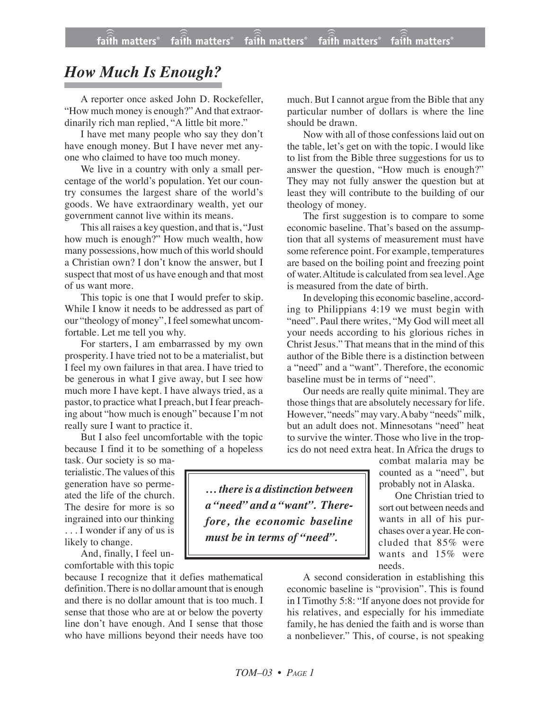## *How Much Is Enough?*

A reporter once asked John D. Rockefeller, "How much money is enough?" And that extraordinarily rich man replied, "A little bit more."

I have met many people who say they don't have enough money. But I have never met anyone who claimed to have too much money.

We live in a country with only a small percentage of the world's population. Yet our country consumes the largest share of the world's goods. We have extraordinary wealth, yet our government cannot live within its means.

This all raises a key question, and that is, "Just how much is enough?" How much wealth, how many possessions, how much of this world should a Christian own? I don't know the answer, but I suspect that most of us have enough and that most of us want more.

This topic is one that I would prefer to skip. While I know it needs to be addressed as part of our "theology of money", I feel somewhat uncomfortable. Let me tell you why.

For starters, I am embarrassed by my own prosperity. I have tried not to be a materialist, but I feel my own failures in that area. I have tried to be generous in what I give away, but I see how much more I have kept. I have always tried, as a pastor, to practice what I preach, but I fear preaching about "how much is enough" because I'm not really sure I want to practice it.

But I also feel uncomfortable with the topic because I find it to be something of a hopeless

task. Our society is so materialistic.The values of this generation have so permeated the life of the church. The desire for more is so ingrained into our thinking . . . I wonder if any of us is

likely to change. And, finally, I feel un-

comfortable with this topic because I recognize that it defies mathematical definition.There is no dollar amount that is enough and there is no dollar amount that is too much. I sense that those who are at or below the poverty line don't have enough. And I sense that those

who have millions beyond their needs have too

much. But I cannot argue from the Bible that any particular number of dollars is where the line should be drawn.

Now with all of those confessions laid out on the table, let's get on with the topic. I would like to list from the Bible three suggestions for us to answer the question, "How much is enough?" They may not fully answer the question but at least they will contribute to the building of our theology of money.

The first suggestion is to compare to some economic baseline. That's based on the assumption that all systems of measurement must have some reference point. For example, temperatures are based on the boiling point and freezing point of water. Altitude is calculated from sea level.Age is measured from the date of birth.

In developing this economic baseline, according to Philippians 4:19 we must begin with "need". Paul there writes, "My God will meet all your needs according to his glorious riches in Christ Jesus." That means that in the mind of this author of the Bible there is a distinction between a "need" and a "want". Therefore, the economic baseline must be in terms of "need".

Our needs are really quite minimal. They are those things that are absolutely necessary for life. However, "needs" may vary. A baby "needs" milk, but an adult does not. Minnesotans "need" heat to survive the winter. Those who live in the tropics do not need extra heat. In Africa the drugs to

> combat malaria may be counted as a "need", but probably not in Alaska.

> One Christian tried to sort out between needs and wants in all of his purchases over a year. He concluded that 85% were wants and 15% were needs.

A second consideration in establishing this economic baseline is "provision". This is found in I Timothy 5:8: "If anyone does not provide for his relatives, and especially for his immediate family, he has denied the faith and is worse than a nonbeliever." This, of course, is not speaking

*… there is a distinction between a "need" and a "want". Therefore, the economic baseline must be in terms of "need".*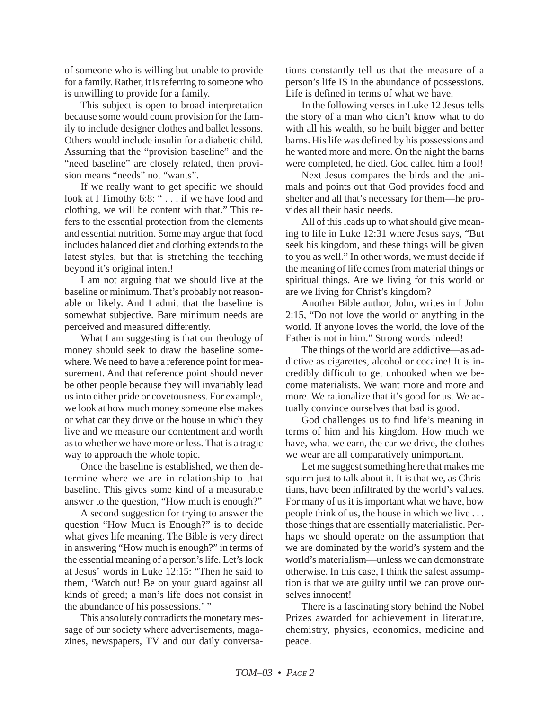of someone who is willing but unable to provide for a family. Rather, it is referring to someone who is unwilling to provide for a family.

This subject is open to broad interpretation because some would count provision for the family to include designer clothes and ballet lessons. Others would include insulin for a diabetic child. Assuming that the "provision baseline" and the "need baseline" are closely related, then provision means "needs" not "wants".

If we really want to get specific we should look at I Timothy 6:8: " . . . if we have food and clothing, we will be content with that." This refers to the essential protection from the elements and essential nutrition. Some may argue that food includes balanced diet and clothing extends to the latest styles, but that is stretching the teaching beyond it's original intent!

I am not arguing that we should live at the baseline or minimum. That's probably not reasonable or likely. And I admit that the baseline is somewhat subjective. Bare minimum needs are perceived and measured differently.

What I am suggesting is that our theology of money should seek to draw the baseline somewhere. We need to have a reference point for measurement. And that reference point should never be other people because they will invariably lead us into either pride or covetousness. For example, we look at how much money someone else makes or what car they drive or the house in which they live and we measure our contentment and worth as to whether we have more or less. That is a tragic way to approach the whole topic.

Once the baseline is established, we then determine where we are in relationship to that baseline. This gives some kind of a measurable answer to the question, "How much is enough?"

A second suggestion for trying to answer the question "How Much is Enough?" is to decide what gives life meaning. The Bible is very direct in answering "How much is enough?" in terms of the essential meaning of a person's life. Let's look at Jesus' words in Luke 12:15: "Then he said to them, 'Watch out! Be on your guard against all kinds of greed; a man's life does not consist in the abundance of his possessions.' "

This absolutely contradicts the monetary message of our society where advertisements, magazines, newspapers, TV and our daily conversations constantly tell us that the measure of a person's life IS in the abundance of possessions. Life is defined in terms of what we have.

In the following verses in Luke 12 Jesus tells the story of a man who didn't know what to do with all his wealth, so he built bigger and better barns. His life was defined by his possessions and he wanted more and more. On the night the barns were completed, he died. God called him a fool!

Next Jesus compares the birds and the animals and points out that God provides food and shelter and all that's necessary for them—he provides all their basic needs.

All of this leads up to what should give meaning to life in Luke 12:31 where Jesus says, "But seek his kingdom, and these things will be given to you as well." In other words, we must decide if the meaning of life comes from material things or spiritual things. Are we living for this world or are we living for Christ's kingdom?

Another Bible author, John, writes in I John 2:15, "Do not love the world or anything in the world. If anyone loves the world, the love of the Father is not in him." Strong words indeed!

The things of the world are addictive—as addictive as cigarettes, alcohol or cocaine! It is incredibly difficult to get unhooked when we become materialists. We want more and more and more. We rationalize that it's good for us. We actually convince ourselves that bad is good.

God challenges us to find life's meaning in terms of him and his kingdom. How much we have, what we earn, the car we drive, the clothes we wear are all comparatively unimportant.

Let me suggest something here that makes me squirm just to talk about it. It is that we, as Christians, have been infiltrated by the world's values. For many of us it is important what we have, how people think of us, the house in which we live . . . those things that are essentially materialistic. Perhaps we should operate on the assumption that we are dominated by the world's system and the world's materialism—unless we can demonstrate otherwise. In this case, I think the safest assumption is that we are guilty until we can prove ourselves innocent!

There is a fascinating story behind the Nobel Prizes awarded for achievement in literature, chemistry, physics, economics, medicine and peace.